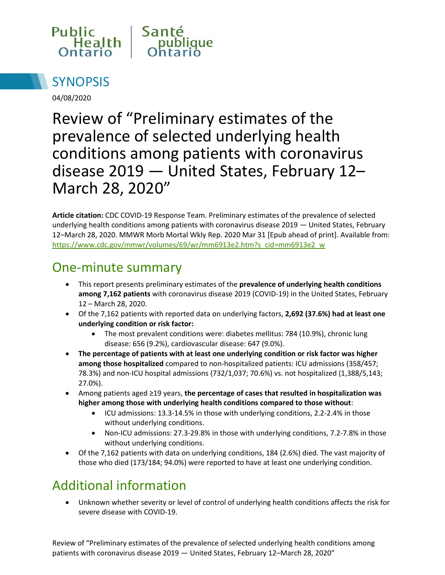



04/08/2020

# Review of "Preliminary estimates of the prevalence of selected underlying health conditions among patients with coronavirus disease 2019 — United States, February 12– March 28, 2020"

**Article citation:** CDC COVID-19 Response Team. Preliminary estimates of the prevalence of selected underlying health conditions among patients with coronavirus disease 2019 — United States, February 12–March 28, 2020. MMWR Morb Mortal Wkly Rep. 2020 Mar 31 [Epub ahead of print]. Available from: [https://www.cdc.gov/mmwr/volumes/69/wr/mm6913e2.htm?s\\_cid=mm6913e2\\_w](https://www.cdc.gov/mmwr/volumes/69/wr/mm6913e2.htm?s_cid=mm6913e2_w)

#### One-minute summary

- This report presents preliminary estimates of the **prevalence of underlying health conditions among 7,162 patients** with coronavirus disease 2019 (COVID-19) in the United States, February 12 – March 28, 2020.
- Of the 7,162 patients with reported data on underlying factors, **2,692 (37.6%) had at least one underlying condition or risk factor:**
	- The most prevalent conditions were: diabetes mellitus: 784 (10.9%), chronic lung disease: 656 (9.2%), cardiovascular disease: 647 (9.0%).
- **The percentage of patients with at least one underlying condition or risk factor was higher among those hospitalized** compared to non-hospitalized patients: ICU admissions (358/457; 78.3%) and non-ICU hospital admissions (732/1,037; 70.6%) vs. not hospitalized (1,388/5,143; 27.0%).
- Among patients aged ≥19 years, **the percentage of cases that resulted in hospitalization was higher among those with underlying health conditions compared to those without**:
	- ICU admissions: 13.3-14.5% in those with underlying conditions, 2.2-2.4% in those without underlying conditions.
	- Non-ICU admissions: 27.3-29.8% in those with underlying conditions, 7.2-7.8% in those without underlying conditions.
- Of the 7,162 patients with data on underlying conditions, 184 (2.6%) died. The vast majority of those who died (173/184; 94.0%) were reported to have at least one underlying condition.

## Additional information

 Unknown whether severity or level of control of underlying health conditions affects the risk for severe disease with COVID-19.

Review of "Preliminary estimates of the prevalence of selected underlying health conditions among patients with coronavirus disease 2019 — United States, February 12–March 28, 2020"